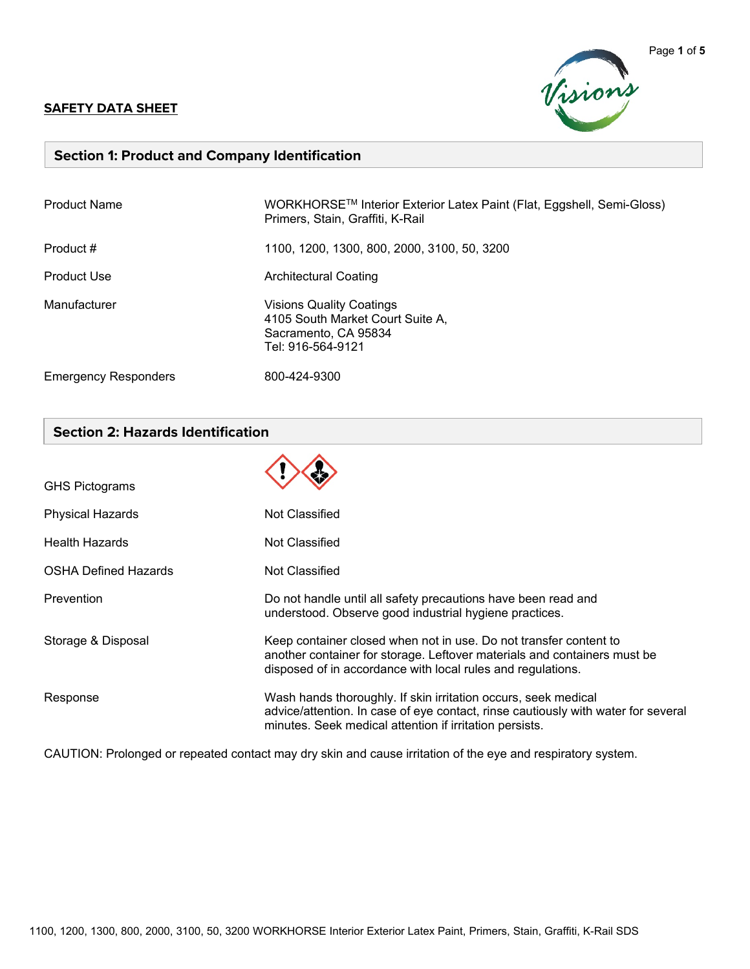#### **SAFETY DATA SHEET**



### **Section 1: Product and Company Identification**

| <b>Product Name</b>         | WORKHORSE™ Interior Exterior Latex Paint (Flat, Eggshell, Semi-Gloss)<br>Primers, Stain, Graffiti, K-Rail        |
|-----------------------------|------------------------------------------------------------------------------------------------------------------|
| Product #                   | 1100, 1200, 1300, 800, 2000, 3100, 50, 3200                                                                      |
| <b>Product Use</b>          | <b>Architectural Coating</b>                                                                                     |
| Manufacturer                | <b>Visions Quality Coatings</b><br>4105 South Market Court Suite A,<br>Sacramento, CA 95834<br>Tel: 916-564-9121 |
| <b>Emergency Responders</b> | 800-424-9300                                                                                                     |

# **Section 2: Hazards Identification**

| <b>GHS Pictograms</b>       |                                                                                                                                                                                                                |
|-----------------------------|----------------------------------------------------------------------------------------------------------------------------------------------------------------------------------------------------------------|
| <b>Physical Hazards</b>     | Not Classified                                                                                                                                                                                                 |
| <b>Health Hazards</b>       | Not Classified                                                                                                                                                                                                 |
| <b>OSHA Defined Hazards</b> | Not Classified                                                                                                                                                                                                 |
| Prevention                  | Do not handle until all safety precautions have been read and<br>understood. Observe good industrial hygiene practices.                                                                                        |
| Storage & Disposal          | Keep container closed when not in use. Do not transfer content to<br>another container for storage. Leftover materials and containers must be<br>disposed of in accordance with local rules and regulations.   |
| Response                    | Wash hands thoroughly. If skin irritation occurs, seek medical<br>advice/attention. In case of eye contact, rinse cautiously with water for several<br>minutes. Seek medical attention if irritation persists. |

CAUTION: Prolonged or repeated contact may dry skin and cause irritation of the eye and respiratory system.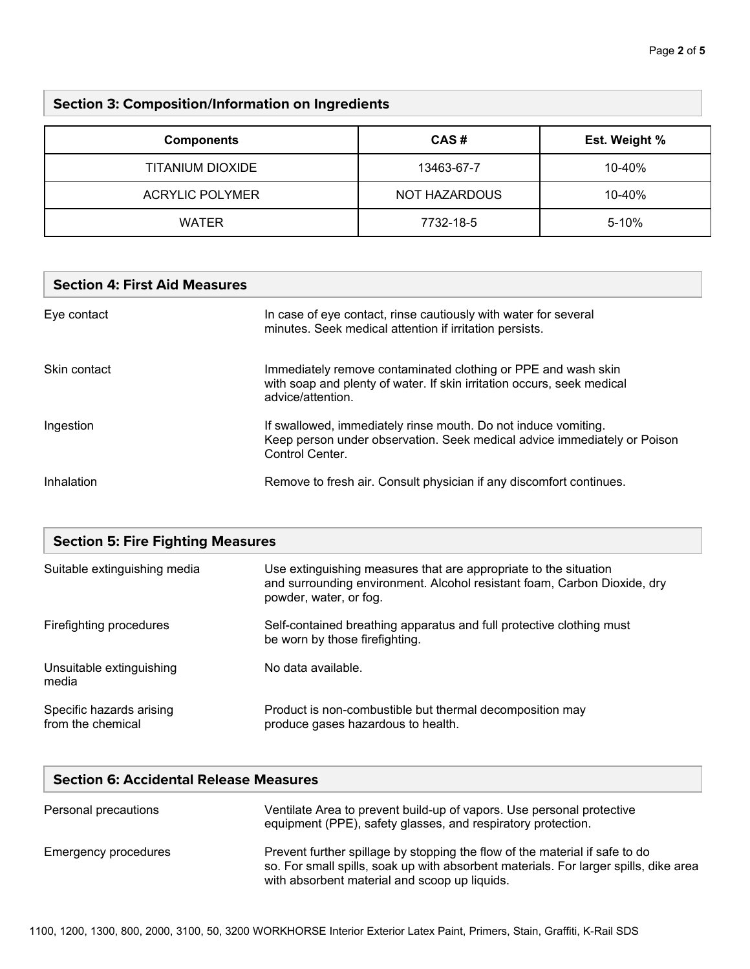# **Section 3: Composition/Information on Ingredients**

| <b>Components</b>      | CAS#          | Est. Weight % |
|------------------------|---------------|---------------|
| TITANIUM DIOXIDE       | 13463-67-7    | 10-40%        |
| <b>ACRYLIC POLYMER</b> | NOT HAZARDOUS | 10-40%        |
| <b>WATER</b>           | 7732-18-5     | 5-10%         |

#### **Section 4: First Aid Measures**

| Eye contact  | In case of eye contact, rinse cautiously with water for several<br>minutes. Seek medical attention if irritation persists.                                    |
|--------------|---------------------------------------------------------------------------------------------------------------------------------------------------------------|
| Skin contact | Immediately remove contaminated clothing or PPE and wash skin<br>with soap and plenty of water. If skin irritation occurs, seek medical<br>advice/attention.  |
| Ingestion    | If swallowed, immediately rinse mouth. Do not induce vomiting.<br>Keep person under observation. Seek medical advice immediately or Poison<br>Control Center. |
| Inhalation   | Remove to fresh air. Consult physician if any discomfort continues.                                                                                           |

| <b>Section 5: Fire Fighting Measures</b>      |                                                                                                                                                                        |  |
|-----------------------------------------------|------------------------------------------------------------------------------------------------------------------------------------------------------------------------|--|
| Suitable extinguishing media                  | Use extinguishing measures that are appropriate to the situation<br>and surrounding environment. Alcohol resistant foam, Carbon Dioxide, dry<br>powder, water, or fog. |  |
| Firefighting procedures                       | Self-contained breathing apparatus and full protective clothing must<br>be worn by those firefighting.                                                                 |  |
| Unsuitable extinguishing<br>media             | No data available.                                                                                                                                                     |  |
| Specific hazards arising<br>from the chemical | Product is non-combustible but thermal decomposition may<br>produce gases hazardous to health.                                                                         |  |

| <b>Section 6: Accidental Release Measures</b> |                                                                                                                                                                                                                      |  |
|-----------------------------------------------|----------------------------------------------------------------------------------------------------------------------------------------------------------------------------------------------------------------------|--|
| Personal precautions                          | Ventilate Area to prevent build-up of vapors. Use personal protective<br>equipment (PPE), safety glasses, and respiratory protection.                                                                                |  |
| <b>Emergency procedures</b>                   | Prevent further spillage by stopping the flow of the material if safe to do<br>so. For small spills, soak up with absorbent materials. For larger spills, dike area<br>with absorbent material and scoop up liquids. |  |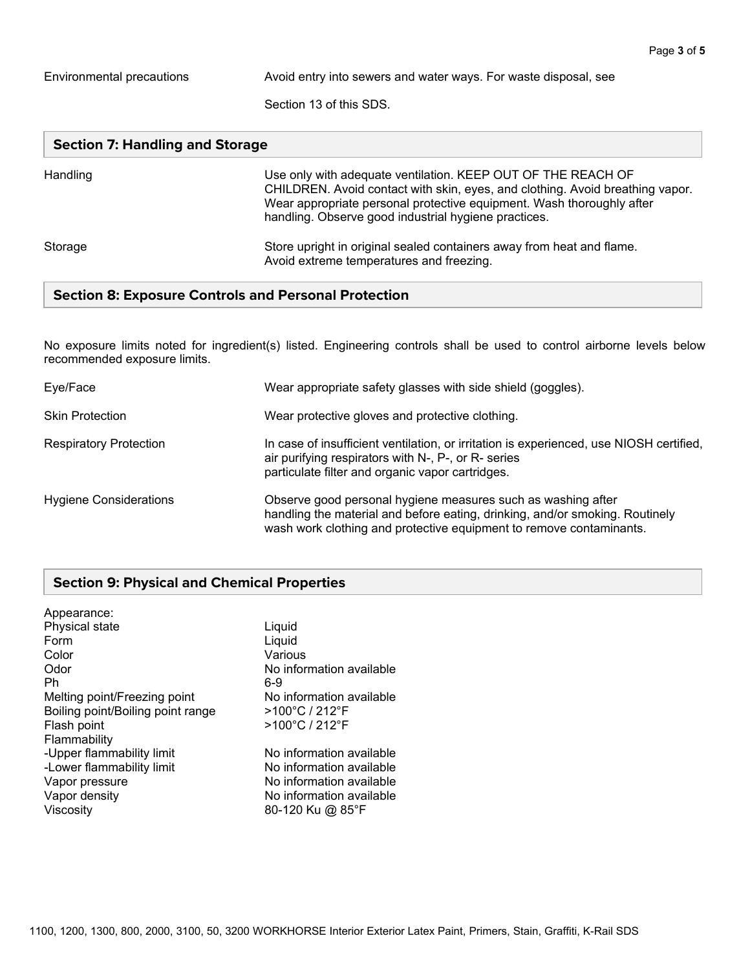Environmental precautions **Avoid entry into sewers and water ways.** For waste disposal, see

Section 13 of this SDS.

| <b>Section 7: Handling and Storage</b> |                                                                                                                                                                                                                                                                                |  |
|----------------------------------------|--------------------------------------------------------------------------------------------------------------------------------------------------------------------------------------------------------------------------------------------------------------------------------|--|
| Handling                               | Use only with adequate ventilation. KEEP OUT OF THE REACH OF<br>CHILDREN. Avoid contact with skin, eyes, and clothing. Avoid breathing vapor.<br>Wear appropriate personal protective equipment. Wash thoroughly after<br>handling. Observe good industrial hygiene practices. |  |
| Storage                                | Store upright in original sealed containers away from heat and flame.<br>Avoid extreme temperatures and freezing.                                                                                                                                                              |  |

### **Section 8: Exposure Controls and Personal Protection**

No exposure limits noted for ingredient(s) listed. Engineering controls shall be used to control airborne levels below recommended exposure limits.

| Eye/Face                      | Wear appropriate safety glasses with side shield (goggles).                                                                                                                                                         |
|-------------------------------|---------------------------------------------------------------------------------------------------------------------------------------------------------------------------------------------------------------------|
| <b>Skin Protection</b>        | Wear protective gloves and protective clothing.                                                                                                                                                                     |
| <b>Respiratory Protection</b> | In case of insufficient ventilation, or irritation is experienced, use NIOSH certified,<br>air purifying respirators with N-, P-, or R- series<br>particulate filter and organic vapor cartridges.                  |
| <b>Hygiene Considerations</b> | Observe good personal hygiene measures such as washing after<br>handling the material and before eating, drinking, and/or smoking. Routinely<br>wash work clothing and protective equipment to remove contaminants. |

### **Section 9: Physical and Chemical Properties**

| Appearance:                       |                          |
|-----------------------------------|--------------------------|
| Physical state                    | Liquid                   |
| Form                              | Liquid                   |
| Color                             | Various                  |
| Odor                              | No information available |
| Ph                                | 6-9                      |
| Melting point/Freezing point      | No information available |
| Boiling point/Boiling point range | >100°C / 212°F           |
| Flash point                       | >100°C / 212°F           |
| Flammability                      |                          |
| -Upper flammability limit         | No information available |
| -Lower flammability limit         | No information available |
| Vapor pressure                    | No information available |
| Vapor density                     | No information available |
| Viscosity                         | 80-120 Ku @ 85°F         |
|                                   |                          |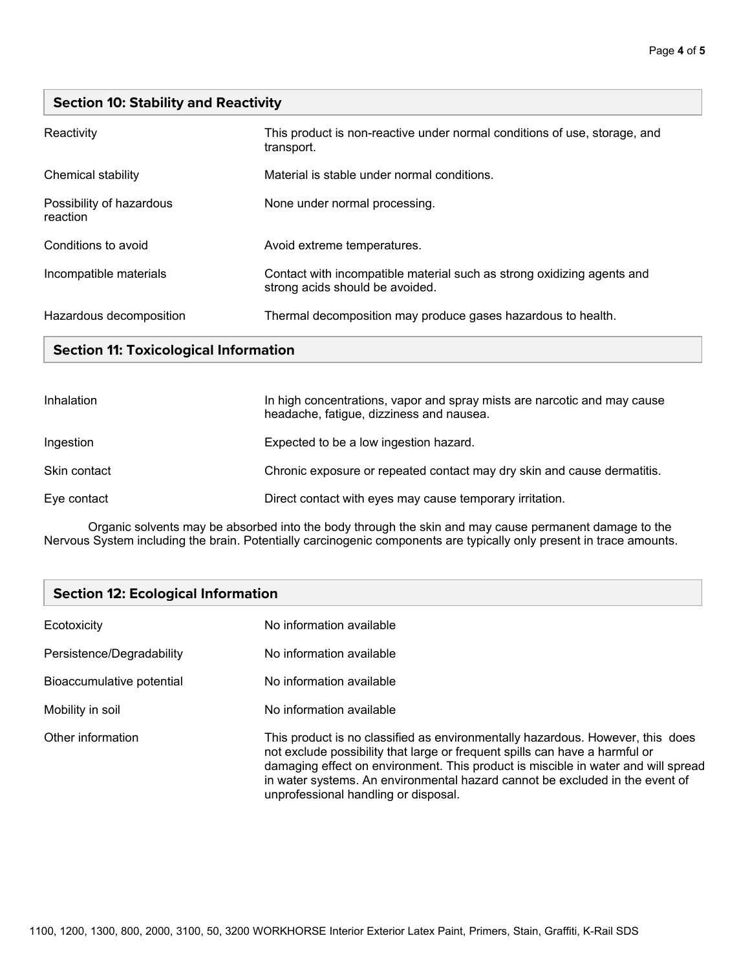## **Section 10: Stability and Reactivity**

| Reactivity                           | This product is non-reactive under normal conditions of use, storage, and<br>transport.                   |
|--------------------------------------|-----------------------------------------------------------------------------------------------------------|
| Chemical stability                   | Material is stable under normal conditions.                                                               |
| Possibility of hazardous<br>reaction | None under normal processing.                                                                             |
| Conditions to avoid                  | Avoid extreme temperatures.                                                                               |
| Incompatible materials               | Contact with incompatible material such as strong oxidizing agents and<br>strong acids should be avoided. |
| Hazardous decomposition              | Thermal decomposition may produce gases hazardous to health.                                              |

# **Section 11: Toxicological Information**

| Inhalation   | In high concentrations, vapor and spray mists are narcotic and may cause<br>headache, fatigue, dizziness and nausea. |
|--------------|----------------------------------------------------------------------------------------------------------------------|
| Ingestion    | Expected to be a low ingestion hazard.                                                                               |
| Skin contact | Chronic exposure or repeated contact may dry skin and cause dermatitis.                                              |
| Eye contact  | Direct contact with eyes may cause temporary irritation.                                                             |

Organic solvents may be absorbed into the body through the skin and may cause permanent damage to the Nervous System including the brain. Potentially carcinogenic components are typically only present in trace amounts.

| <b>Section 12: Ecological Information</b> |                                                                                                                                                                                                                                                                                                                                                                            |
|-------------------------------------------|----------------------------------------------------------------------------------------------------------------------------------------------------------------------------------------------------------------------------------------------------------------------------------------------------------------------------------------------------------------------------|
| Ecotoxicity                               | No information available                                                                                                                                                                                                                                                                                                                                                   |
| Persistence/Degradability                 | No information available                                                                                                                                                                                                                                                                                                                                                   |
| Bioaccumulative potential                 | No information available                                                                                                                                                                                                                                                                                                                                                   |
| Mobility in soil                          | No information available                                                                                                                                                                                                                                                                                                                                                   |
| Other information                         | This product is no classified as environmentally hazardous. However, this does<br>not exclude possibility that large or frequent spills can have a harmful or<br>damaging effect on environment. This product is miscible in water and will spread<br>in water systems. An environmental hazard cannot be excluded in the event of<br>unprofessional handling or disposal. |